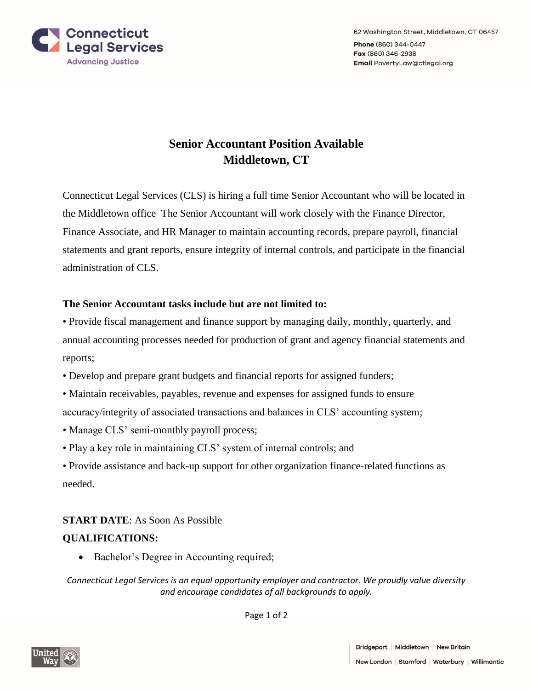

## **Senior Accountant Position Available Middletown, CT**

Connecticut Legal Services (CLS) is hiring a full time Senior Accountant who will be located in the Middletown office The Senior Accountant will work closely with the Finance Director, Finance Associate, and HR Manager to maintain accounting records, prepare payroll, financial statements and grant reports, ensure integrity of internal controls, and participate in the financial administration of CLS.

## **The Senior Accountant tasks include but are not limited to:**

• Provide fiscal management and finance support by managing daily, monthly, quarterly, and annual accounting processes needed for production of grant and agency financial statements and reports;

- Develop and prepare grant budgets and financial reports for assigned funders;
- Maintain receivables, payables, revenue and expenses for assigned funds to ensure accuracy/integrity of associated transactions and balances in CLS' accounting system;
- Manage CLS' semi-monthly payroll process;
- Play a key role in maintaining CLS' system of internal controls; and

• Provide assistance and back-up support for other organization finance-related functions as needed.

## **START DATE**: As Soon As Possible

## **QUALIFICATIONS:**

• Bachelor's Degree in Accounting required;

*Connecticut Legal Services is an equal opportunity employer and contractor. We proudly value diversity and encourage candidates of all backgrounds to apply.*

Page 1 of 2